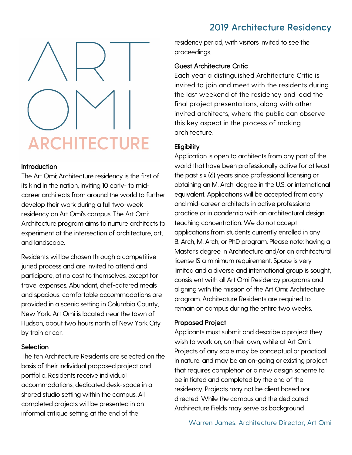# 2019 Architecture Residency



### Introduction

The Art Omi: Architecture residency is the first of its kind in the nation, inviting 10 early- to midcareer architects from around the world to further develop their work during a full two-week residency on Art Omi's campus. The Art Omi: Architecture program aims to nurture architects to experiment at the intersection of architecture, art, and landscape.

Residents will be chosen through a competitive juried process and are invited to attend and participate, at no cost to themselves, except for travel expenses. Abundant, chef-catered meals and spacious, comfortable accommodations are provided in a scenic setting in Columbia County, New York. Art Omi is located near the town of Hudson, about two hours north of New York City by train or car.

#### **Selection**

The ten Architecture Residents are selected on the basis of their individual proposed project and portfolio. Residents receive individual accommodations, dedicated desk-space in a shared studio setting within the campus. All completed projects will be presented in an informal critique setting at the end of the

residency period, with visitors invited to see the proceedings.

## Guest Architecture Critic

Each year a distinguished Architecture Critic is invited to join and meet with the residents during the last weekend of the residency and lead the final project presentations, along with other invited architects, where the public can observe this key aspect in the process of making architecture.

## **Eligibility**

Application is open to architects from any part of the world that have been professionally active for at least the past six (6) years since professional licensing or obtaining an M. Arch. degree in the U.S. or international equivalent. Applications will be accepted from early and mid-career architects in active professional practice or in academia with an architectural design teaching concentration. We do not accept applications from students currently enrolled in any B. Arch, M. Arch, or PhD program. Please note: having a Master's degree in Architecture and/or an architectural license IS a minimum requirement. Space is very limited and a diverse and international group is sought, consistent with all Art Omi Residency programs and aligning with the mission of the Art Omi: Architecture program. Architecture Residents are required to remain on campus during the entire two weeks.

## Proposed Project

Applicants must submit and describe a project they wish to work on, on their own, while at Art Omi. Projects of any scale may be conceptual or practical in nature, and may be an on-going or existing project that requires completion or a new design scheme to be initiated and completed by the end of the residency. Projects may not be client based nor directed. While the campus and the dedicated Architecture Fields may serve as background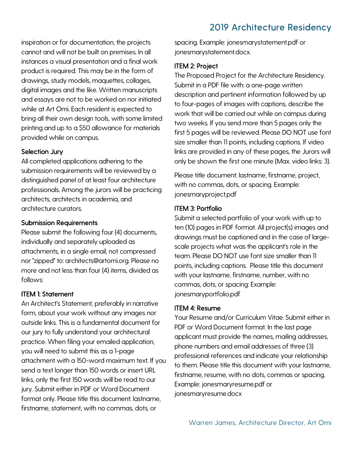## 2019 Architecture Residency

inspiration or for documentation, the projects cannot and will not be built on premises. In all instances a visual presentation and a final work product is required. This may be in the form of drawings, study models, maquettes, collages, digital images and the like. Written manuscripts and essays are not to be worked on nor initiated while at Art Omi. Each resident is expected to bring all their own design tools, with some limited printing and up to a \$50 allowance for materials provided while on campus.

### Selection Jury

All completed applications adhering to the submission requirements will be reviewed by a distinguished panel of at least four architecture professionals. Among the jurors will be practicing architects, architects in academia, and architecture curators.

#### Submission Requirements

Please submit the following four (4) documents, individually and separately uploaded as attachments, in a single email, not compressed nor "zipped" to: architects@artomi.org. Please no more and not less than four (4) items, divided as follows:

## ITEM 1: Statement

An Architect's Statement, preferably in narrative form, about your work without any images nor outside links. This is a fundamental document for our jury to fully understand your architectural practice. When filing your emailed application, you will need to submit this as a 1-page attachment with a 150-word maximum text. If you send a text longer than 150 words or insert URL links, only the first 150 words will be read to our jury. Submit either in PDF or Word Document format only. Please title this document: lastname, firstname, statement, with no commas, dots, or

spacing. Example: jonesmarystatement.pdf or jonesmarystatement.docx.

## ITEM 2: Project

The Proposed Project for the Architecture Residency. Submit in a PDF file with: a one-page written description and pertinent information followed by up to four-pages of images with captions, describe the work that will be carried out while on campus during two weeks. If you send more than 5 pages only the first 5 pages will be reviewed. Please DO NOT use font size smaller than 11 points, including captions. If video links are provided in any of these pages, the Jurors will only be shown the first one minute (Max. video links: 3).

Please title document: lastname, firstname, project, with no commas, dots, or spacing. Example: jonesmaryproject.pdf

## ITEM 3: Portfolio

Submit a selected portfolio of your work with up to ten (10) pages in PDF format. All project(s) images and drawings must be captioned and in the case of largescale projects what was the applicant's role in the team. Please DO NOT use font size smaller than 11 points, including captions. Please title this document with your lastname, firstname, number, with no commas, dots, or spacing: Example: jonesmaryportfolio.pdf

#### ITEM 4: Resume

Your Resume and/or Curriculum Vitae. Submit either in PDF or Word Document format. In the last page applicant must provide the names, mailing addresses, phone numbers and email addresses of three (3) professional references and indicate your relationship to them. Please title this document with your lastname, firstname, resume, with no dots, commas or spacing. Example: jonesmaryresume.pdf or jonesmaryresume.docx